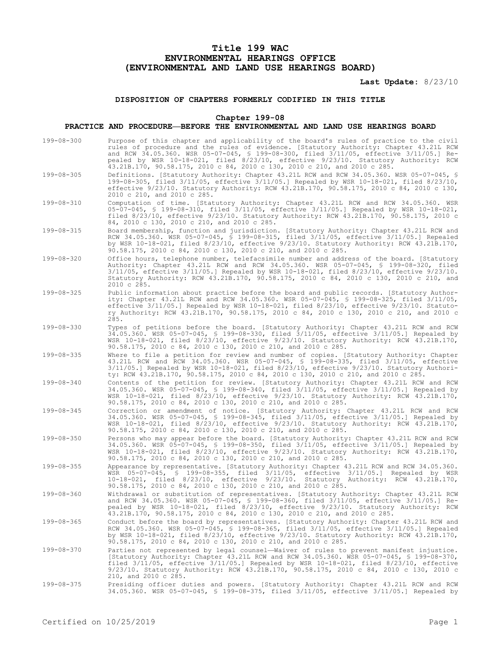## **Title 199 WAC ENVIRONMENTAL HEARINGS OFFICE (ENVIRONMENTAL AND LAND USE HEARINGS BOARD)**

**Last Update:** 8/23/10

## **DISPOSITION OF CHAPTERS FORMERLY CODIFIED IN THIS TITLE**

**Chapter 199-08**

## **PRACTICE AND PROCEDURE—BEFORE THE ENVIRONMENTAL AND LAND USE HEARINGS BOARD**

| 199-08-300       | Purpose of this chapter and applicability of the board's rules of practice to the civil<br>rules of procedure and the rules of evidence. [Statutory Authority: Chapter 43.21L RCW<br>and RCW 34.05.360. WSR 05-07-045, § 199-08-300, filed 3/11/05, effective 3/11/05.] Re-<br>pealed by WSR 10-18-021, filed 8/23/10, effective 9/23/10. Statutory Authority: RCW<br>43.21B.170, 90.58.175, 2010 c 84, 2010 c 130, 2010 c 210, and 2010 c 285. |
|------------------|-------------------------------------------------------------------------------------------------------------------------------------------------------------------------------------------------------------------------------------------------------------------------------------------------------------------------------------------------------------------------------------------------------------------------------------------------|
| 199-08-305       | Definitions. [Statutory Authority: Chapter 43.21L RCW and RCW 34.05.360. WSR 05-07-045, §<br>199-08-305, filed 3/11/05, effective 3/11/05.] Repealed by WSR 10-18-021, filed 8/23/10,<br>effective 9/23/10. Statutory Authority: RCW 43.21B.170, 90.58.175, 2010 c 84, 2010 c 130,<br>2010 c 210, and 2010 c 285.                                                                                                                               |
| 199-08-310       | Computation of time. [Statutory Authority: Chapter 43.21L RCW and RCW 34.05.360. WSR<br>05-07-045, § 199-08-310, filed 3/11/05, effective 3/11/05.] Repealed by WSR 10-18-021,<br>filed $8/23/10$ , effective $9/23/10$ . Statutory Authority: RCW 43.21B.170, 90.58.175, 2010 c<br>84, 2010 c 130, 2010 c 210, and 2010 c 285.                                                                                                                 |
| $199 - 08 - 315$ | Board membership, function and jurisdiction. [Statutory Authority: Chapter 43.21L RCW and<br>RCW 34.05.360. WSR 05-07-045, § 199-08-315, filed 3/11/05, effective 3/11/05.] Repealed<br>by WSR $10-18-021$ , filed $8/23/10$ , effective $9/23/10$ . Statutory Authority: RCW 43.21B.170,<br>90.58.175, 2010 c 84, 2010 c 130, 2010 c 210, and 2010 c 285.                                                                                      |
| 199-08-320       | Office hours, telephone number, telefacsimile number and address of the board. [Statutory<br>Authority: Chapter 43.21L RCW and RCW 34.05.360. WSR 05-07-045, § 199-08-320, filed<br>$3/11/05$ , effective $3/11/05$ . Repealed by WSR 10-18-021, filed $8/23/10$ , effective $9/23/10$ .<br>Statutory Authority: RCW 43.21B.170, 90.58.175, 2010 c 84, 2010 c 130, 2010 c 210, and<br>2010 c 285.                                               |
| $199 - 08 - 325$ | Public information about practice before the board and public records. [Statutory Author-<br>ity: Chapter 43.21L RCW and RCW 34.05.360. WSR 05-07-045, § 199-08-325, filed 3/11/05,<br>effective $3/11/05$ . Repealed by WSR 10-18-021, filed $8/23/10$ , effective $9/23/10$ . Statuto-<br>ry Authority: RCW 43.21B.170, 90.58.175, 2010 c 84, 2010 c 130, 2010 c 210, and 2010 c<br>285.                                                      |
| 199-08-330       | Types of petitions before the board. [Statutory Authority: Chapter 43.21L RCW and RCW<br>34.05.360. WSR 05-07-045, \$ 199-08-330, filed 3/11/05, effective 3/11/05.] Repealed by<br>WSR $10-18-021$ , filed $8/23/10$ , effective $9/23/10$ . Statutory Authority: RCW 43.21B.170,<br>90.58.175, 2010 c 84, 2010 c 130, 2010 c 210, and 2010 c 285.                                                                                             |
| 199-08-335       | Where to file a petition for review and number of copies. [Statutory Authority: Chapter<br>43.21L RCW and RCW 34.05.360. WSR 05-07-045, § 199-08-335, filed 3/11/05, effective<br>$3/11/05$ .] Repealed by WSR 10-18-021, filed 8/23/10, effective 9/23/10. Statutory Authori-<br>ty: RCW 43.21B.170, 90.58.175, 2010 c 84, 2010 c 130, 2010 c 210, and 2010 c 285.                                                                             |
| $199 - 08 - 340$ | Contents of the petition for review. [Statutory Authority: Chapter 43.21L RCW and RCW<br>34.05.360. WSR 05-07-045, § 199-08-340, filed 3/11/05, effective 3/11/05.] Repealed by<br>WSR $10-18-021$ , filed $8/23/10$ , effective $9/23/10$ . Statutory Authority: RCW 43.21B.170,<br>90.58.175, 2010 c 84, 2010 c 130, 2010 c 210, and 2010 c 285.                                                                                              |
| $199 - 08 - 345$ | Correction or amendment of notice. [Statutory Authority: Chapter 43.21L RCW and RCW<br>34.05.360. WSR 05-07-045, \$ 199-08-345, filed 3/11/05, effective 3/11/05.] Repealed by<br>WSR $10-18-021$ , filed $8/23/10$ , effective $9/23/10$ . Statutory Authority: RCW 43.21B.170,<br>90.58.175, 2010 c 84, 2010 c 130, 2010 c 210, and 2010 c 285.                                                                                               |
| 199-08-350       | Persons who may appear before the board. [Statutory Authority: Chapter 43.21L RCW and RCW<br>34.05.360. WSR 05-07-045, \$ 199-08-350, filed 3/11/05, effective 3/11/05.] Repealed by<br>WSR $10-18-021$ , filed $8/23/10$ , effective $9/23/10$ . Statutory Authority: RCW 43.21B.170,<br>90.58.175, 2010 c 84, 2010 c 130, 2010 c 210, and 2010 c 285.                                                                                         |
| $199 - 08 - 355$ | Appearance by representative. [Statutory Authority: Chapter 43.21L RCW and RCW 34.05.360.<br>WSR 05-07-045, § 199-08-355, filed 3/11/05, effective 3/11/05.] Repealed by WSR<br>10-18-021, filed 8/23/10, effective 9/23/10. Statutory Authority: RCW 43.21B.170,<br>90.58.175, 2010 c 84, 2010 c 130, 2010 c 210, and 2010 c 285.                                                                                                              |
| 199-08-360       | Withdrawal or substitution of representatives. [Statutory Authority: Chapter 43.21L RCW<br>and RCW 34.05.360. WSR 05-07-045, § 199-08-360, filed 3/11/05, effective 3/11/05.] Re-<br>pealed by WSR 10-18-021, filed 8/23/10, effective 9/23/10. Statutory Authority: RCW<br>43.21B.170, 90.58.175, 2010 c 84, 2010 c 130, 2010 c 210, and 2010 c 285.                                                                                           |
| 199-08-365       | Conduct before the board by representatives. [Statutory Authority: Chapter 43.21L RCW and<br>RCW 34.05.360. WSR 05-07-045, § 199-08-365, filed 3/11/05, effective 3/11/05.] Repealed<br>by WSR 10-18-021, filed 8/23/10, effective 9/23/10. Statutory Authority: RCW 43.21B.170,<br>90.58.175, 2010 c 84, 2010 c 130, 2010 c 210, and 2010 c 285.                                                                                               |
| $199 - 08 - 370$ | Parties not represented by legal counsel—Waiver of rules to prevent manifest injustice.<br>[Statutory Authority: Chapter 43.21L RCW and RCW 34.05.360. WSR 05-07-045, \$ 199-08-370,<br>filed $3/11/05$ , effective $3/11/05$ . Repealed by WSR 10-18-021, filed $8/23/10$ , effective<br>9/23/10. Statutory Authority: RCW 43.21B.170, 90.58.175, 2010 c 84, 2010 c 130, 2010 c<br>210, and 2010 c 285.                                        |
| 199-08-375       | Presiding officer duties and powers. [Statutory Authority: Chapter 43.21L RCW and RCW<br>34.05.360. WSR 05-07-045, § 199-08-375, filed 3/11/05, effective 3/11/05.] Repealed by                                                                                                                                                                                                                                                                 |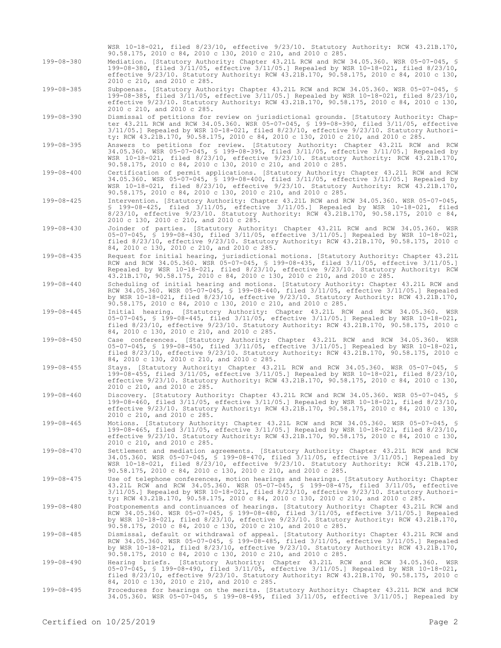|                  | WSR $10-18-021$ , filed $8/23/10$ , effective $9/23/10$ . Statutory Authority: RCW 43.21B.170,<br>90.58.175, 2010 c 84, 2010 c 130, 2010 c 210, and 2010 c 285.                                                                                                                                                                                                           |
|------------------|---------------------------------------------------------------------------------------------------------------------------------------------------------------------------------------------------------------------------------------------------------------------------------------------------------------------------------------------------------------------------|
| 199-08-380       | Mediation. [Statutory Authority: Chapter 43.21L RCW and RCW 34.05.360. WSR 05-07-045, §<br>199-08-380, filed $3/11/05$ , effective $3/11/05$ . Repealed by WSR 10-18-021, filed $8/23/10$ ,<br>effective 9/23/10. Statutory Authority: RCW 43.21B.170, 90.58.175, 2010 c 84, 2010 c 130,<br>2010 c 210, and 2010 c 285.                                                   |
| $199 - 08 - 385$ | Subpoenas. [Statutory Authority: Chapter 43.21L RCW and RCW 34.05.360. WSR 05-07-045, §<br>199-08-385, filed $3/11/05$ , effective $3/11/05$ .] Repealed by WSR 10-18-021, filed $8/23/10$ ,<br>effective 9/23/10. Statutory Authority: RCW 43.21B.170, 90.58.175, 2010 c 84, 2010 c 130,<br>2010 c 210, and 2010 c 285.                                                  |
| 199-08-390       | Dismissal of petitions for review on jurisdictional grounds. [Statutory Authority: Chap-<br>ter 43.21L RCW and RCW 34.05.360. WSR 05-07-045, \$ 199-08-390, filed 3/11/05, effective<br>$3/11/05$ .] Repealed by WSR 10-18-021, filed 8/23/10, effective 9/23/10. Statutory Authori-<br>ty: RCW 43.21B.170, 90.58.175, 2010 c 84, 2010 c 130, 2010 c 210, and 2010 c 285. |
| 199-08-395       | Answers to petitions for review. [Statutory Authority: Chapter 43.21L RCW and RCW<br>34.05.360. WSR 05-07-045, § 199-08-395, filed 3/11/05, effective 3/11/05.] Repealed by<br>WSR $10-18-021$ , filed $8/23/10$ , effective $9/23/10$ . Statutory Authority: RCW 43.21B.170,<br>90.58.175, 2010 c 84, 2010 c 130, 2010 c 210, and 2010 c 285.                            |
| 199-08-400       | Certification of permit applications. [Statutory Authority: Chapter 43.21L RCW and RCW<br>34.05.360. WSR 05-07-045, \$ 199-08-400, filed 3/11/05, effective 3/11/05.] Repealed by<br>WSR $10-18-021$ , filed $8/23/10$ , effective $9/23/10$ . Statutory Authority: RCW 43.21B.170,<br>90.58.175, 2010 c 84, 2010 c 130, 2010 c 210, and 2010 c 285.                      |
| 199-08-425       | Intervention. [Statutory Authority: Chapter 43.21L RCW and RCW 34.05.360. WSR 05-07-045,<br>\$ 199-08-425, filed 3/11/05, effective 3/11/05.] Repealed by WSR 10-18-021, filed<br>8/23/10, effective 9/23/10. Statutory Authority: RCW 43.21B.170, 90.58.175, 2010 c 84,<br>2010 c 130, 2010 c 210, and 2010 c 285.                                                       |
| 199-08-430       | Joinder of parties. [Statutory Authority: Chapter 43.21L RCW and RCW 34.05.360. WSR<br>05-07-045, § 199-08-430, filed $3/11/05$ , effective $3/11/05$ .] Repealed by WSR 10-18-021,<br>filed $8/23/10$ , effective $9/23/10$ . Statutory Authority: RCW 43.21B.170, 90.58.175, 2010 c<br>84, 2010 c 130, 2010 c 210, and 2010 c 285.                                      |
| $199 - 08 - 435$ | Request for initial hearing, jurisdictional motions. [Statutory Authority: Chapter 43.21L<br>RCW and RCW 34.05.360. WSR 05-07-045, \$ 199-08-435, filed 3/11/05, effective 3/11/05.]<br>Repealed by WSR 10-18-021, filed 8/23/10, effective 9/23/10. Statutory Authority: RCW<br>43.21B.170, 90.58.175, 2010 c 84, 2010 c 130, 2010 c 210, and 2010 c 285.                |
| 199-08-440       | Scheduling of initial hearing and motions. [Statutory Authority: Chapter 43.21L RCW and<br>RCW 34.05.360. WSR 05-07-045, \$ 199-08-440, filed 3/11/05, effective 3/11/05.] Repealed<br>by WSR 10-18-021, filed $8/23/10$ , effective $9/23/10$ . Statutory Authority: RCW 43.21B.170,<br>90.58.175, 2010 c 84, 2010 c 130, 2010 c 210, and 2010 c 285.                    |
| 199-08-445       | Initial hearing. [Statutory Authority: Chapter 43.21L RCW and RCW 34.05.360. WSR<br>05-07-045, § 199-08-445, filed 3/11/05, effective 3/11/05.] Repealed by WSR 10-18-021,<br>filed $8/23/10$ , effective $9/23/10$ . Statutory Authority: RCW 43.21B.170, 90.58.175, 2010 c<br>84, 2010 c 130, 2010 c 210, and 2010 c 285.                                               |
| 199-08-450       | Case conferences. [Statutory Authority: Chapter 43.21L RCW and RCW 34.05.360. WSR<br>05-07-045, § 199-08-450, filed $3/11/05$ , effective $3/11/05$ .] Repealed by WSR 10-18-021,<br>filed $8/23/10$ , effective $9/23/10$ . Statutory Authority: RCW 43.21B.170, 90.58.175, 2010 c<br>84, 2010 c 130, 2010 c 210, and 2010 c 285.                                        |
| $199 - 08 - 455$ | Stays. [Statutory Authority: Chapter 43.21L RCW and RCW 34.05.360. WSR 05-07-045, §<br>199-08-455, filed 3/11/05, effective 3/11/05.] Repealed by WSR 10-18-021, filed 8/23/10,<br>effective 9/23/10. Statutory Authority: RCW 43.21B.170, 90.58.175, 2010 c 84, 2010 c 130,<br>2010 c 210, and 2010 c 285.                                                               |
| 199-08-460       | Discovery. [Statutory Authority: Chapter 43.21L RCW and RCW 34.05.360. WSR 05-07-045, §<br>199-08-460, filed 3/11/05, effective 3/11/05.] Repealed by WSR 10-18-021, filed 8/23/10,<br>effective 9/23/10. Statutory Authority: RCW 43.21B.170, 90.58.175, 2010 c 84, 2010 c 130,<br>2010 c 210, and 2010 c 285.                                                           |
| $199 - 08 - 465$ | Motions. [Statutory Authority: Chapter 43.21L RCW and RCW 34.05.360. WSR 05-07-045, §<br>199-08-465, filed 3/11/05, effective 3/11/05.] Repealed by WSR 10-18-021, filed 8/23/10,<br>effective 9/23/10. Statutory Authority: RCW 43.21B.170, 90.58.175, 2010 c 84, 2010 c 130,<br>2010 c 210, and 2010 c 285.                                                             |
| $199 - 08 - 470$ | Settlement and mediation agreements. [Statutory Authority: Chapter 43.21L RCW and RCW<br>34.05.360. WSR 05-07-045, § 199-08-470, filed 3/11/05, effective 3/11/05.] Repealed by<br>WSR $10-18-021$ , filed $8/23/10$ , effective $9/23/10$ . Statutory Authority: RCW 43.21B.170,<br>90.58.175, 2010 c 84, 2010 c 130, 2010 c 210, and 2010 c 285.                        |
| 199-08-475       | Use of telephone conferences, motion hearings and hearings. [Statutory Authority: Chapter<br>43.21L RCW and RCW 34.05.360. WSR 05-07-045, \$ 199-08-475, filed 3/11/05, effective<br>3/11/05.] Repealed by WSR 10-18-021, filed 8/23/10, effective 9/23/10. Statutory Authori-<br>ty: RCW 43.21B.170, 90.58.175, 2010 c 84, 2010 c 130, 2010 c 210, and 2010 c 285.       |
| $199 - 08 - 480$ | Postponements and continuances of hearings. [Statutory Authority: Chapter 43.21L RCW and<br>RCW 34.05.360. WSR 05-07-045, \$ 199-08-480, filed 3/11/05, effective 3/11/05.] Repealed<br>by WSR $10-18-021$ , filed $8/23/10$ , effective $9/23/10$ . Statutory Authority: RCW 43.21B.170,<br>90.58.175, 2010 c 84, 2010 c 130, 2010 c 210, and 2010 c 285.                |
| 199-08-485       | Dismissal, default or withdrawal of appeal. [Statutory Authority: Chapter 43.21L RCW and<br>RCW 34.05.360. WSR 05-07-045, § 199-08-485, filed 3/11/05, effective 3/11/05.] Repealed<br>by WSR $10-18-021$ , filed $8/23/10$ , effective $9/23/10$ . Statutory Authority: RCW 43.21B.170,<br>90.58.175, 2010 c 84, 2010 c 130, 2010 c 210, and 2010 c 285.                 |
| 199-08-490       | Hearing briefs. [Statutory Authority: Chapter 43.21L RCW and RCW 34.05.360. WSR<br>05-07-045, § 199-08-490, filed 3/11/05, effective 3/11/05.] Repealed by WSR 10-18-021,<br>filed $8/23/10$ , effective $9/23/10$ . Statutory Authority: RCW 43.21B.170, 90.58.175, 2010 c<br>84, 2010 c 130, 2010 c 210, and 2010 c 285.                                                |
| $199 - 08 - 495$ | Procedures for hearings on the merits. [Statutory Authority: Chapter 43.21L RCW and RCW<br>34.05.360. WSR 05-07-045, § 199-08-495, filed 3/11/05, effective 3/11/05.] Repealed by                                                                                                                                                                                         |